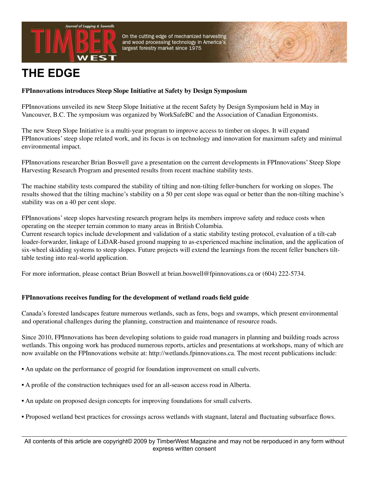



# **THE EDGE**

# **FPInnovations introduces Steep Slope Initiative at Safety by Design Symposium**

FPInnovations unveiled its new Steep Slope Initiative at the recent Safety by Design Symposium held in May in Vancouver, B.C. The symposium was organized by WorkSafeBC and the Association of Canadian Ergonomists.

The new Steep Slope Initiative is a multi-year program to improve access to timber on slopes. It will expand FPInnovations' steep slope related work, and its focus is on technology and innovation for maximum safety and minimal environmental impact.

FPInnovations researcher Brian Boswell gave a presentation on the current developments in FPInnovations' Steep Slope Harvesting Research Program and presented results from recent machine stability tests.

The machine stability tests compared the stability of tilting and non-tilting feller-bunchers for working on slopes. The results showed that the tilting machine's stability on a 50 per cent slope was equal or better than the non-tilting machine's stability was on a 40 per cent slope.

FPInnovations' steep slopes harvesting research program helps its members improve safety and reduce costs when operating on the steeper terrain common to many areas in British Columbia.

Current research topics include development and validation of a static stability testing protocol, evaluation of a tilt-cab loader-forwarder, linkage of LiDAR-based ground mapping to as-experienced machine inclination, and the application of six-wheel skidding systems to steep slopes. Future projects will extend the learnings from the recent feller bunchers tilttable testing into real-world application.

For more information, please contact Brian Boswell at brian.boswell@fpinnovations.ca or (604) 222-5734.

# **FPInnovations receives funding for the development of wetland roads field guide**

Canada's forested landscapes feature numerous wetlands, such as fens, bogs and swamps, which present environmental and operational challenges during the planning, construction and maintenance of resource roads.

Since 2010, FPInnovations has been developing solutions to guide road managers in planning and building roads across wetlands. This ongoing work has produced numerous reports, articles and presentations at workshops, many of which are now available on the FPInnovations website at: http://wetlands.fpinnovations.ca. The most recent publications include:

- An update on the performance of geogrid for foundation improvement on small culverts.
- A profile of the construction techniques used for an all-season access road in Alberta.
- An update on proposed design concepts for improving foundations for small culverts.
- Proposed wetland best practices for crossings across wetlands with stagnant, lateral and fluctuating subsurface flows.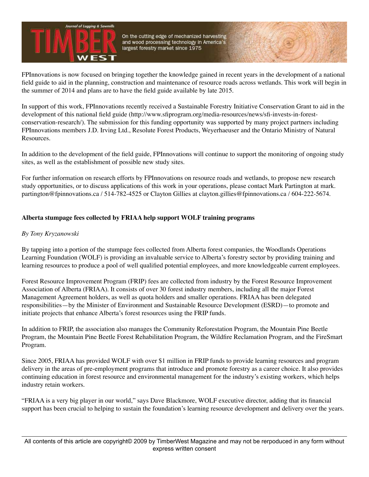

FPInnovations is now focused on bringing together the knowledge gained in recent years in the development of a national field guide to aid in the planning, construction and maintenance of resource roads across wetlands. This work will begin in the summer of 2014 and plans are to have the field guide available by late 2015.

In support of this work, FPInnovations recently received a Sustainable Forestry Initiative Conservation Grant to aid in the development of this national field guide (http://www.sfiprogram.org/media-resources/news/sfi-invests-in-forestconservation-research/). The submission for this funding opportunity was supported by many project partners including FPInnovations members J.D. Irving Ltd., Resolute Forest Products, Weyerhaeuser and the Ontario Ministry of Natural Resources.

In addition to the development of the field guide, FPInnovations will continue to support the monitoring of ongoing study sites, as well as the establishment of possible new study sites.

For further information on research efforts by FPInnovations on resource roads and wetlands, to propose new research study opportunities, or to discuss applications of this work in your operations, please contact Mark Partington at mark. partington@fpinnovations.ca / 514-782-4525 or Clayton Gillies at clayton.gillies@fpinnovations.ca / 604-222-5674.

# **Alberta stumpage fees collected by FRIAA help support WOLF training programs**

# *By Tony Kryzanowski*

By tapping into a portion of the stumpage fees collected from Alberta forest companies, the Woodlands Operations Learning Foundation (WOLF) is providing an invaluable service to Alberta's forestry sector by providing training and learning resources to produce a pool of well qualified potential employees, and more knowledgeable current employees.

Forest Resource Improvement Program (FRIP) fees are collected from industry by the Forest Resource Improvement Association of Alberta (FRIAA). It consists of over 30 forest industry members, including all the major Forest Management Agreement holders, as well as quota holders and smaller operations. FRIAA has been delegated responsibilities—by the Minister of Environment and Sustainable Resource Development (ESRD)—to promote and initiate projects that enhance Alberta's forest resources using the FRIP funds.

In addition to FRIP, the association also manages the Community Reforestation Program, the Mountain Pine Beetle Program, the Mountain Pine Beetle Forest Rehabilitation Program, the Wildfire Reclamation Program, and the FireSmart Program.

Since 2005, FRIAA has provided WOLF with over \$1 million in FRIP funds to provide learning resources and program delivery in the areas of pre-employment programs that introduce and promote forestry as a career choice. It also provides continuing education in forest resource and environmental management for the industry's existing workers, which helps industry retain workers.

"FRIAA is a very big player in our world," says Dave Blackmore, WOLF executive director, adding that its financial support has been crucial to helping to sustain the foundation's learning resource development and delivery over the years.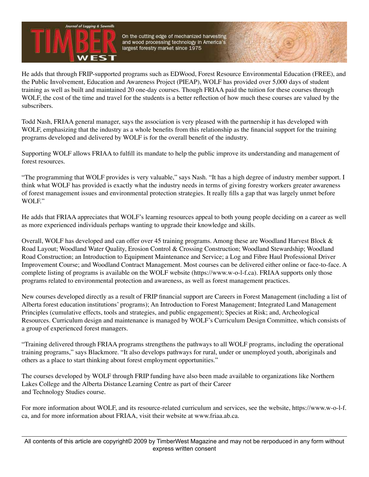He adds that through FRIP-supported programs such as EDWood, Forest Resource Environmental Education (FREE), and the Public Involvement, Education and Awareness Project (PIEAP), WOLF has provided over 5,000 days of student training as well as built and maintained 20 one-day courses. Though FRIAA paid the tuition for these courses through WOLF, the cost of the time and travel for the students is a better reflection of how much these courses are valued by the subscribers.

Todd Nash, FRIAA general manager, says the association is very pleased with the partnership it has developed with WOLF, emphasizing that the industry as a whole benefits from this relationship as the financial support for the training programs developed and delivered by WOLF is for the overall benefit of the industry.

Supporting WOLF allows FRIAA to fulfill its mandate to help the public improve its understanding and management of forest resources.

"The programming that WOLF provides is very valuable," says Nash. "It has a high degree of industry member support. I think what WOLF has provided is exactly what the industry needs in terms of giving forestry workers greater awareness of forest management issues and environmental protection strategies. It really fills a gap that was largely unmet before WOLF."

He adds that FRIAA appreciates that WOLF's learning resources appeal to both young people deciding on a career as well as more experienced individuals perhaps wanting to upgrade their knowledge and skills.

Overall, WOLF has developed and can offer over 45 training programs. Among these are Woodland Harvest Block & Road Layout; Woodland Water Quality, Erosion Control & Crossing Construction; Woodland Stewardship; Woodland Road Construction; an Introduction to Equipment Maintenance and Service; a Log and Fibre Haul Professional Driver Improvement Course; and Woodland Contract Management. Most courses can be delivered either online or face-to-face. A complete listing of programs is available on the WOLF website (https://www.w-o-l-f.ca). FRIAA supports only those programs related to environmental protection and awareness, as well as forest management practices.

New courses developed directly as a result of FRIP financial support are Careers in Forest Management (including a list of Alberta forest education institutions' programs); An Introduction to Forest Management; Integrated Land Management Principles (cumulative effects, tools and strategies, and public engagement); Species at Risk; and, Archeological Resources. Curriculum design and maintenance is managed by WOLF's Curriculum Design Committee, which consists of a group of experienced forest managers.

"Training delivered through FRIAA programs strengthens the pathways to all WOLF programs, including the operational training programs," says Blackmore. "It also develops pathways for rural, under or unemployed youth, aboriginals and others as a place to start thinking about forest employment opportunities."

The courses developed by WOLF through FRIP funding have also been made available to organizations like Northern Lakes College and the Alberta Distance Learning Centre as part of their Career and Technology Studies course.

For more information about WOLF, and its resource-related curriculum and services, see the website, https://www.w-o-l-f. ca, and for more information about FRIAA, visit their website at www.friaa.ab.ca.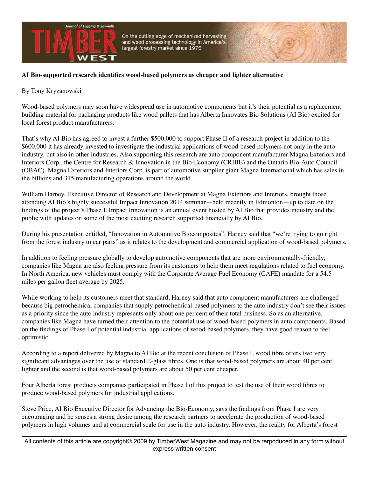

# **AI Bio-supported research identifies wood-based polymers as cheaper and lighter alternative**

# By Tony Kryzanowski

Wood-based polymers may soon have widespread use in automotive components but it's their potential as a replacement building material for packaging products like wood pallets that has Alberta Innovates Bio Solutions (AI Bio) excited for local forest product manufacturers.

That's why AI Bio has agreed to invest a further \$500,000 to support Phase II of a research project in addition to the \$600,000 it has already invested to investigate the industrial applications of wood-based polymers not only in the auto industry, but also in other industries. Also supporting this research are auto component manufacturer Magna Exteriors and Interiors Corp., the Centre for Research & Innovation in the Bio-Economy (CRIBE) and the Ontario Bio-Auto Council (OBAC). Magna Exteriors and Interiors Corp. is part of automotive supplier giant Magna International which has sales in the billions and 315 manufacturing operations around the world.

William Harney, Executive Director of Research and Development at Magna Exteriors and Interiors, brought those attending AI Bio's highly successful Impact Innovation 2014 seminar—held recently in Edmonton—up to date on the findings of the project's Phase I. Impact Innovation is an annual event hosted by AI Bio that provides industry and the public with updates on some of the most exciting research supported financially by AI Bio.

During his presentation entitled, "Innovation in Automotive Biocomposites", Harney said that "we're trying to go right from the forest industry to car parts" as it relates to the development and commercial application of wood-based polymers.

In addition to feeling pressure globally to develop automotive components that are more environmentally-friendly, companies like Magna are also feeling pressure from its customers to help them meet regulations related to fuel economy. In North America, new vehicles must comply with the Corporate Average Fuel Economy (CAFE) mandate for a 54.5 miles per gallon fleet average by 2025.

While working to help its customers meet that standard, Harney said that auto component manufacturers are challenged because big petrochemical companies that supply petrochemical-based polymers to the auto industry don't see their issues as a priority since the auto industry represents only about one per cent of their total business. So as an alternative, companies like Magna have turned their attention to the potential use of wood-based polymers in auto components. Based on the findings of Phase I of potential industrial applications of wood-based polymers, they have good reason to feel optimistic.

According to a report delivered by Magna to AI Bio at the recent conclusion of Phase I, wood fibre offers two very significant advantages over the use of standard E-glass fibres. One is that wood-based polymers are about 40 per cent lighter and the second is that wood-based polymers are about 50 per cent cheaper.

Four Alberta forest products companies participated in Phase I of this project to test the use of their wood fibres to produce wood-based polymers for industrial applications.

Steve Price, AI Bio Executive Director for Advancing the Bio-Economy, says the findings from Phase I are very encouraging and he senses a strong desire among the research partners to accelerate the production of wood-based polymers in high volumes and at commercial scale for use in the auto industry. However, the reality for Alberta's forest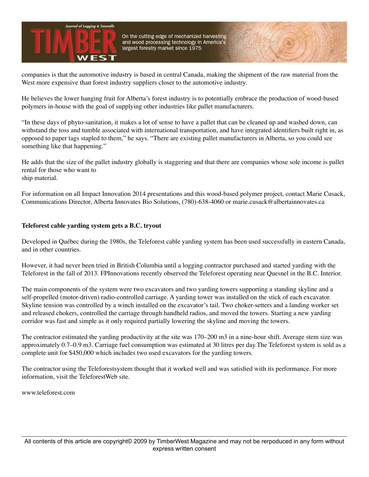

companies is that the automotive industry is based in central Canada, making the shipment of the raw material from the West more expensive than forest industry suppliers closer to the automotive industry.

He believes the lower hanging fruit for Alberta's forest industry is to potentially embrace the production of wood-based polymers in-house with the goal of supplying other industries like pallet manufacturers.

"In these days of phyto-sanitation, it makes a lot of sense to have a pallet that can be cleaned up and washed down, can withstand the toss and tumble associated with international transportation, and have integrated identifiers built right in, as opposed to paper tags stapled to them," he says. "There are existing pallet manufacturers in Alberta, so you could see something like that happening."

He adds that the size of the pallet industry globally is staggering and that there are companies whose sole income is pallet rental for those who want to ship material.

For information on all Impact Innovation 2014 presentations and this wood-based polymer project, contact Marie Cusack, Communications Director, Alberta Innovates Bio Solutions, (780)-638-4060 or marie.cusack@albertainnovates.ca

#### **Teleforest cable yarding system gets a B.C. tryout**

Developed in Québec during the 1980s, the Teleforest cable yarding system has been used successfully in eastern Canada, and in other countries.

However, it had never been tried in British Columbia until a logging contractor purchased and started yarding with the Teleforest in the fall of 2013. FPInnovations recently observed the Teleforest operating near Quesnel in the B.C. Interior.

The main components of the system were two excavators and two yarding towers supporting a standing skyline and a self-propelled (motor-driven) radio-controlled carriage. A yarding tower was installed on the stick of each excavator. Skyline tension was controlled by a winch installed on the excavator's tail. Two choker-setters and a landing worker set and released chokers, controlled the carriage through handheld radios, and moved the towers. Starting a new yarding corridor was fast and simple as it only required partially lowering the skyline and moving the towers.

The contractor estimated the yarding productivity at the site was 170–200 m3 in a nine-hour shift. Average stem size was approximately 0.7–0.9 m3. Carriage fuel consumption was estimated at 30 litres per day.The Teleforest system is sold as a complete unit for \$450,000 which includes two used excavators for the yarding towers.

The contractor using the Teleforestsystem thought that it worked well and was satisfied with its performance. For more information, visit the TeleforestWeb site.

www.teleforest.com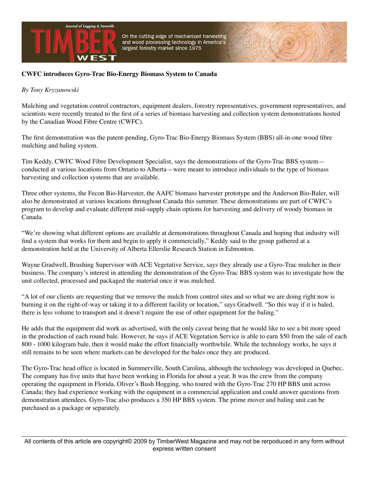

### **CWFC introduces Gyro-Trac Bio-Energy Biomass System to Canada**

#### *By Tony Kryzanowski*

Mulching and vegetation control contractors, equipment dealers, forestry representatives, government representatives, and scientists were recently treated to the first of a series of biomass harvesting and collection system demonstrations hosted by the Canadian Wood Fibre Centre (CWFC).

The first demonstration was the patent-pending, Gyro-Trac Bio-Energy Biomass System (BBS) all-in-one wood fibre mulching and baling system.

Tim Keddy, CWFC Wood Fibre Development Specialist, says the demonstrations of the Gyro-Trac BBS system conducted at various locations from Ontario to Alberta—were meant to introduce individuals to the type of biomass harvesting and collection systems that are available.

Three other systems, the Fecon Bio-Harvester, the AAFC biomass harvester prototype and the Anderson Bio-Baler, will also be demonstrated at various locations throughout Canada this summer. These demonstrations are part of CWFC's program to develop and evaluate different mid-supply chain options for harvesting and delivery of woody biomass in Canada.

"We're showing what different options are available at demonstrations throughout Canada and hoping that industry will find a system that works for them and begin to apply it commercially," Keddy said to the group gathered at a demonstration held at the University of Alberta Ellerslie Research Station in Edmonton.

Wayne Gradwell, Brushing Supervisor with ACE Vegetative Service, says they already use a Gyro-Trac mulcher in their business. The company's interest in attending the demonstration of the Gyro-Trac BBS system was to investigate how the unit collected, processed and packaged the material once it was mulched.

"A lot of our clients are requesting that we remove the mulch from control sites and so what we are doing right now is burning it on the right-of-way or taking it to a different facility or location," says Gradwell. "So this way if it is baled, there is less volume to transport and it doesn't require the use of other equipment for the baling."

He adds that the equipment did work as advertised, with the only caveat being that he would like to see a bit more speed in the production of each round bale. However, he says if ACE Vegetation Service is able to earn \$50 from the sale of each 800 - 1000 kilogram bale, then it would make the effort financially worthwhile. While the technology works, he says it still remains to be seen where markets can be developed for the bales once they are produced.

The Gyro-Trac head office is located in Summerville, South Carolina, although the technology was developed in Quebec. The company has five units that have been working in Florida for about a year. It was the crew from the company operating the equipment in Florida, Oliver's Bush Hogging, who toured with the Gyro-Trac 270 HP BBS unit across Canada; they had experience working with the equipment in a commercial application and could answer questions from demonstration attendees. Gyro-Trac also produces a 350 HP BBS system. The prime mover and baling unit can be purchased as a package or separately.

All contents of this article are copyright© 2009 by TimberWest Magazine and may not be rerpoduced in any form without express written consent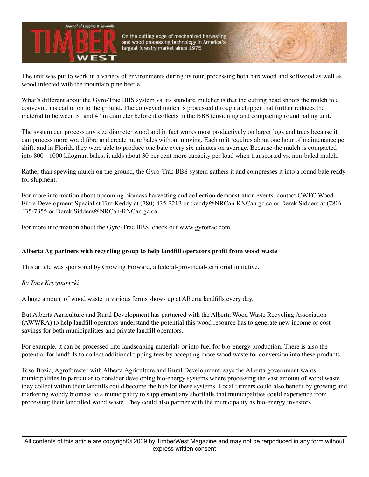

The unit was put to work in a variety of environments during its tour, processing both hardwood and softwood as well as wood infected with the mountain pine beetle.

What's different about the Gyro-Trac BBS system vs. its standard mulcher is that the cutting head shoots the mulch to a conveyor, instead of on to the ground. The conveyed mulch is processed through a chipper that further reduces the material to between 3" and 4" in diameter before it collects in the BBS tensioning and compacting round baling unit.

The system can process any size diameter wood and in fact works most productively on larger logs and trees because it can process more wood fibre and create more bales without moving. Each unit requires about one hour of maintenance per shift, and in Florida they were able to produce one bale every six minutes on average. Because the mulch is compacted into 800 - 1000 kilogram bales, it adds about 30 per cent more capacity per load when transported vs. non-baled mulch.

Rather than spewing mulch on the ground, the Gyro-Trac BBS system gathers it and compresses it into a round bale ready for shipment.

For more information about upcoming biomass harvesting and collection demonstration events, contact CWFC Wood Fibre Development Specialist Tim Keddy at (780) 435-7212 or tkeddy@NRCan-RNCan.gc.ca or Derek Sidders at (780) 435-7355 or Derek.Sidders@NRCan-RNCan.gc.ca

For more information about the Gyro-Trac BBS, check out www.gyrotrac.com.

# **Alberta Ag partners with recycling group to help landfill operators profit from wood waste**

This article was sponsored by Growing Forward, a federal-provincial-territorial initiative.

#### *By Tony Kryzanowski*

A huge amount of wood waste in various forms shows up at Alberta landfills every day.

But Alberta Agriculture and Rural Development has partnered with the Alberta Wood Waste Recycling Association (AWWRA) to help landfill operators understand the potential this wood resource has to generate new income or cost savings for both municipalities and private landfill operators.

For example, it can be processed into landscaping materials or into fuel for bio-energy production. There is also the potential for landfills to collect additional tipping fees by accepting more wood waste for conversion into these products.

Toso Bozic, Agroforester with Alberta Agriculture and Rural Development, says the Alberta government wants municipalities in particular to consider developing bio-energy systems where processing the vast amount of wood waste they collect within their landfills could become the hub for these systems. Local farmers could also benefit by growing and marketing woody biomass to a municipality to supplement any shortfalls that municipalities could experience from processing their landfilled wood waste. They could also partner with the municipality as bio-energy investors.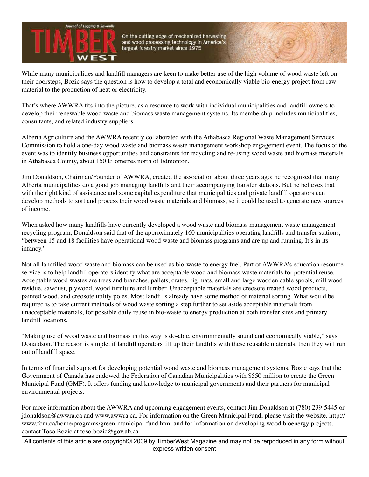

While many municipalities and landfill managers are keen to make better use of the high volume of wood waste left on their doorsteps, Bozic says the question is how to develop a total and economically viable bio-energy project from raw material to the production of heat or electricity.

That's where AWWRA fits into the picture, as a resource to work with individual municipalities and landfill owners to develop their renewable wood waste and biomass waste management systems. Its membership includes municipalities, consultants, and related industry suppliers.

Alberta Agriculture and the AWWRA recently collaborated with the Athabasca Regional Waste Management Services Commission to hold a one-day wood waste and biomass waste management workshop engagement event. The focus of the event was to identify business opportunities and constraints for recycling and re-using wood waste and biomass materials in Athabasca County, about 150 kilometres north of Edmonton.

Jim Donaldson, Chairman/Founder of AWWRA, created the association about three years ago; he recognized that many Alberta municipalities do a good job managing landfills and their accompanying transfer stations. But he believes that with the right kind of assistance and some capital expenditure that municipalities and private landfill operators can develop methods to sort and process their wood waste materials and biomass, so it could be used to generate new sources of income.

When asked how many landfills have currently developed a wood waste and biomass management waste management recycling program, Donaldson said that of the approximately 160 municipalities operating landfills and transfer stations, "between 15 and 18 facilities have operational wood waste and biomass programs and are up and running. It's in its infancy."

Not all landfilled wood waste and biomass can be used as bio-waste to energy fuel. Part of AWWRA's education resource service is to help landfill operators identify what are acceptable wood and biomass waste materials for potential reuse. Acceptable wood wastes are trees and branches, pallets, crates, rig mats, small and large wooden cable spools, mill wood residue, sawdust, plywood, wood furniture and lumber. Unacceptable materials are creosote treated wood products, painted wood, and creosote utility poles. Most landfills already have some method of material sorting. What would be required is to take current methods of wood waste sorting a step further to set aside acceptable materials from unacceptable materials, for possible daily reuse in bio-waste to energy production at both transfer sites and primary landfill locations.

"Making use of wood waste and biomass in this way is do-able, environmentally sound and economically viable," says Donaldson. The reason is simple: if landfill operators fill up their landfills with these reusable materials, then they will run out of landfill space.

In terms of financial support for developing potential wood waste and biomass management systems, Bozic says that the Government of Canada has endowed the Federation of Canadian Municipalities with \$550 million to create the Green Municipal Fund (GMF). It offers funding and knowledge to municipal governments and their partners for municipal environmental projects.

For more information about the AWWRA and upcoming engagement events, contact Jim Donaldson at (780) 239-5445 or jdonaldson@awwra.ca and www.awwra.ca. For information on the Green Municipal Fund, please visit the website, http:// www.fcm.ca/home/programs/green-municipal-fund.htm, and for information on developing wood bioenergy projects, contact Toso Bozic at toso.bozic@gov.ab.ca

All contents of this article are copyright© 2009 by TimberWest Magazine and may not be rerpoduced in any form without express written consent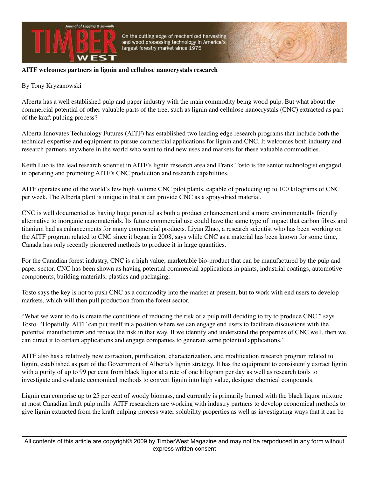

#### **AITF welcomes partners in lignin and cellulose nanocrystals research**

#### By Tony Kryzanowski

Alberta has a well established pulp and paper industry with the main commodity being wood pulp. But what about the commercial potential of other valuable parts of the tree, such as lignin and cellulose nanocrystals (CNC) extracted as part of the kraft pulping process?

Alberta Innovates Technology Futures (AITF) has established two leading edge research programs that include both the technical expertise and equipment to pursue commercial applications for lignin and CNC. It welcomes both industry and research partners anywhere in the world who want to find new uses and markets for these valuable commodities.

Keith Luo is the lead research scientist in AITF's lignin research area and Frank Tosto is the senior technologist engaged in operating and promoting AITF's CNC production and research capabilities.

AITF operates one of the world's few high volume CNC pilot plants, capable of producing up to 100 kilograms of CNC per week. The Alberta plant is unique in that it can provide CNC as a spray-dried material.

CNC is well documented as having huge potential as both a product enhancement and a more environmentally friendly alternative to inorganic nanomaterials. Its future commercial use could have the same type of impact that carbon fibres and titanium had as enhancements for many commercial products. Liyan Zhao, a research scientist who has been working on the AITF program related to CNC since it began in 2008, says while CNC as a material has been known for some time, Canada has only recently pioneered methods to produce it in large quantities.

For the Canadian forest industry, CNC is a high value, marketable bio-product that can be manufactured by the pulp and paper sector. CNC has been shown as having potential commercial applications in paints, industrial coatings, automotive components, building materials, plastics and packaging.

Tosto says the key is not to push CNC as a commodity into the market at present, but to work with end users to develop markets, which will then pull production from the forest sector.

"What we want to do is create the conditions of reducing the risk of a pulp mill deciding to try to produce CNC," says Tosto. "Hopefully, AITF can put itself in a position where we can engage end users to facilitate discussions with the potential manufacturers and reduce the risk in that way. If we identify and understand the properties of CNC well, then we can direct it to certain applications and engage companies to generate some potential applications."

AITF also has a relatively new extraction, purification, characterization, and modification research program related to lignin, established as part of the Government of Alberta's lignin strategy. It has the equipment to consistently extract lignin with a purity of up to 99 per cent from black liquor at a rate of one kilogram per day as well as research tools to investigate and evaluate economical methods to convert lignin into high value, designer chemical compounds.

Lignin can comprise up to 25 per cent of woody biomass, and currently is primarily burned with the black liquor mixture at most Canadian kraft pulp mills. AITF researchers are working with industry partners to develop economical methods to give lignin extracted from the kraft pulping process water solubility properties as well as investigating ways that it can be